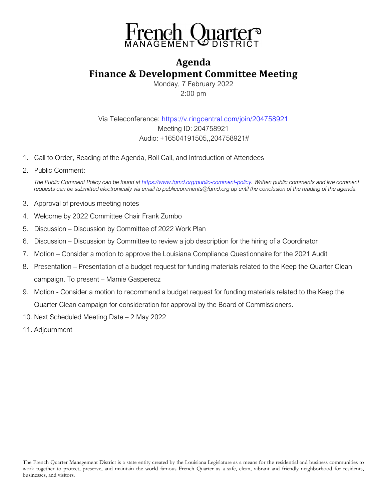

## **Agenda Finance & Development Committee Meeting**

Monday, 7 February 2022 2:00 pm

Via Teleconference:<https://v.ringcentral.com/join/204758921> Meeting ID: 204758921 Audio: +16504191505,,204758921#

- 1. Call to Order, Reading of the Agenda, Roll Call, and Introduction of Attendees
- 2. Public Comment:

*The Public Comment Policy can be found a[t https://www.fqmd.org/public-comment-policy.](https://www.fqmd.org/public-comment-policy) Written public comments and live comment requests can be submitted electronically via email to publiccomments@fqmd.org up until the conclusion of the reading of the agenda.*

- 3. Approval of previous meeting notes
- 4. Welcome by 2022 Committee Chair Frank Zumbo
- 5. Discussion Discussion by Committee of 2022 Work Plan
- 6. Discussion Discussion by Committee to review a job description for the hiring of a Coordinator
- 7. Motion Consider a motion to approve the Louisiana Compliance Questionnaire for the 2021 Audit
- 8. Presentation Presentation of a budget request for funding materials related to the Keep the Quarter Clean campaign. To present – Mamie Gasperecz
- 9. Motion Consider a motion to recommend a budget request for funding materials related to the Keep the Quarter Clean campaign for consideration for approval by the Board of Commissioners.
- 10. Next Scheduled Meeting Date 2 May 2022
- 11. Adjournment